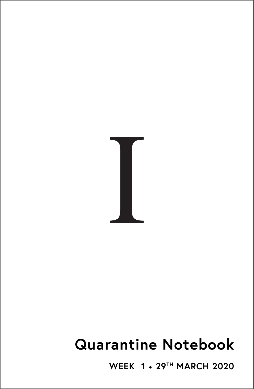

# **Quarantine Notebook**

**WEEK 1** • **29TH MARCH 2020**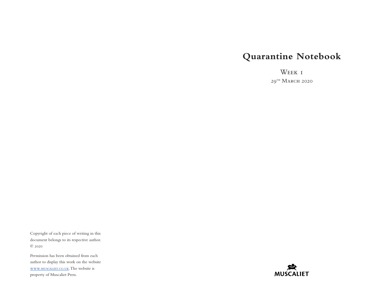## **Quarantine Notebook**

WEEK **1**  $29<sup>th</sup>$  March 2020

Copyright of each piece of writing in this document belongs to its respective author. © 2020

Permission has been obtained from each author to display this work on the website [www.muscaliet.co.uk.](https://www.muscaliet.co.uk) The website is property of Muscaliet Press.

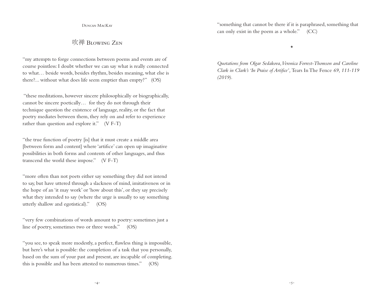Duncan MacKay

## 吹禅 BLOWING ZEN

"my attempts to forge connections between poems and events are of course pointless: I doubt whether we can say what is really connected to what… beside words, besides rhythm, besides meaning, what else is there?... without what does life seem emptier than empty?" (OS)

 "these meditations, however sincere philosophically or biographically, cannot be sincere poetically… for they do not through their technique question the existence of language, reality, or the fact that poetry mediates between them, they rely on and refer to experience rather than question and explore it." (V F-T)

"the true function of poetry [is] that it must create a middle area [between form and content] where 'artifice' can open up imaginative possibilities in both forms and contents of other languages, and thus transcend the world these impose." (V F-T)

"more often than not poets either say something they did not intend to say, but have uttered through a slackness of mind, imitativeness or in the hope of an 'it may work' or 'how about this', or they say precisely what they intended to say (where the urge is usually to say something utterly shallow and egotistical)." (OS)

"very few combinations of words amount to poetry: sometimes just a line of poetry, sometimes two or three words." (OS)

"you see, to speak more modestly, a perfect, flawless thing is impossible, but here's what is possible: the completion of a task that you personally, based on the sum of your past and present, are incapable of completing. this is possible and has been attested to numerous times." (OS)

"something that cannot be there if it is paraphrased, something that can only exist in the poem as a whole." (CC)

\*

*Quotations from Olgar Sedakova, Veronica Forrest-Thomson and Caroline Clark in Clark's 'In Praise of Artifice',* Tears In The Fence *69, 111-119 (2019).*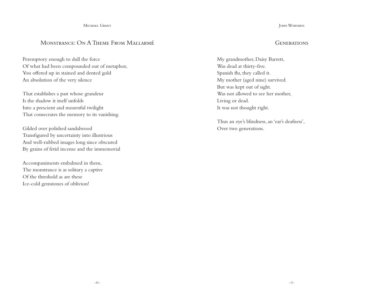Michael Grant

## MONSTRANCE: ON A THEME FROM MALLARMÉ

Peremptory enough to dull the force Of what had been compounded out of metaphor, You offered up in stained and dented gold An absolution of the very silence

That establishes a past whose grandeur Is the shadow it itself unfolds Into a prescient and mournful twilight That consecrates the memory to its vanishing.

Gilded over polished sandalwood Transfigured by uncertainty into illustrious And well-rubbed images long since obscured By grains of fetid incense and the immemorial

Accompaniments embalmed in them, The monstrance is as solitary a captive Of the threshold as are these Ice-cold gemstones of oblivion!

John Worthen

#### **GENERATIONS**

My grandmother, Daisy Barrett, Was dead at thirty-five. Spanish flu, they called it. My mother (aged nine) survived. But was kept out of sight. Was not allowed to see her mother, Living or dead. It was not thought right.

Thus an eye's blindness, an 'ear's deafness', Over two generations.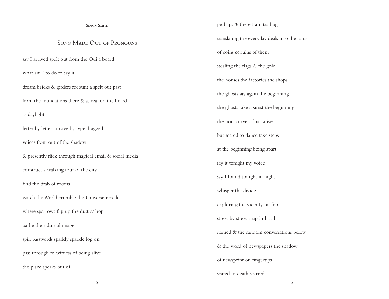Simon Smith SONG MADE OUT OF PRONOUNS say I arrived spelt out from the Ouija board what am I to do to say it dream bricks & girders recount a spelt out past from the foundations there & as real on the board as daylight letter by letter cursive by type dragged voices from out of the shadow & presently flick through magical email & social media construct a walking tour of the city find the drab of rooms watch the World crumble the Universe recede where sparrows flip up the dust & hop bathe their dun plumage spill passwords sparkly sparkle log on pass through to witness of being alive the place speaks out of perhaps & there I am trailing translating the everyday deals into the rains of coins & ruins of them stealing the flags & the gold the houses the factories the shops the ghosts say again the beginning the ghosts take against the beginning the non-curve of narrative but scared to dance take steps at the beginning being apart say it tonight my voice say I found tonight in night whisper the divide exploring the vicinity on foot street by street map in hand named & the random conversations below & the word of newspapers the shadow of newsprint on fingertips scared to death scarred

-8- -9-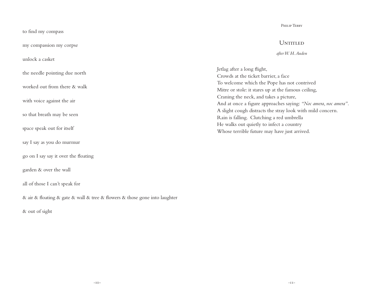|                                                                            | PHILIP TERRY                                                                                                                                                                                                                                                                                                                                                                                                           |
|----------------------------------------------------------------------------|------------------------------------------------------------------------------------------------------------------------------------------------------------------------------------------------------------------------------------------------------------------------------------------------------------------------------------------------------------------------------------------------------------------------|
| to find my compass                                                         |                                                                                                                                                                                                                                                                                                                                                                                                                        |
| my compassion my corpse                                                    | <b>UNTITLED</b>                                                                                                                                                                                                                                                                                                                                                                                                        |
| unlock a casket                                                            | after W. H. Auden                                                                                                                                                                                                                                                                                                                                                                                                      |
|                                                                            |                                                                                                                                                                                                                                                                                                                                                                                                                        |
| the needle pointing due north                                              | Jetlag after a long flight,<br>Crowds at the ticket barrier, a face                                                                                                                                                                                                                                                                                                                                                    |
| worked out from there & walk                                               | To welcome which the Pope has not contrived<br>Mitre or stole: it stares up at the famous ceiling,<br>Craning the neck, and takes a picture,<br>And at once a figure approaches saying: "Noc amera, noc amera".<br>A slight cough distracts the stray look with mild concern.<br>Rain is falling. Clutching a red umbrella<br>He walks out quietly to infect a country<br>Whose terrible future may have just arrived. |
| with voice against the air                                                 |                                                                                                                                                                                                                                                                                                                                                                                                                        |
| so that breath may be seen                                                 |                                                                                                                                                                                                                                                                                                                                                                                                                        |
| space speak out for itself                                                 |                                                                                                                                                                                                                                                                                                                                                                                                                        |
| say I say as you do murmur                                                 |                                                                                                                                                                                                                                                                                                                                                                                                                        |
| go on I say say it over the floating                                       |                                                                                                                                                                                                                                                                                                                                                                                                                        |
| garden & over the wall                                                     |                                                                                                                                                                                                                                                                                                                                                                                                                        |
| all of those I can't speak for                                             |                                                                                                                                                                                                                                                                                                                                                                                                                        |
| & air & floating & gate & wall & tree & flowers & those gone into laughter |                                                                                                                                                                                                                                                                                                                                                                                                                        |
| & out of sight                                                             |                                                                                                                                                                                                                                                                                                                                                                                                                        |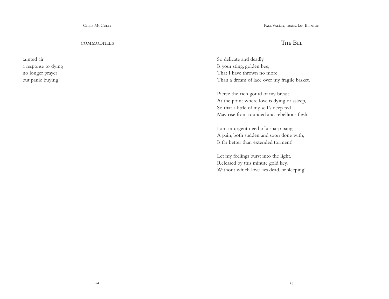CHRIS McCULLY

#### **COMMODITIES**

tainted air a response to dying no longer prayer but panic buying

#### Paul Valéry, trans. Ian Brinton

### The Bee

So delicate and deadly Is your sting, golden bee, That I have thrown no more Than a dream of lace over my fragile basket.

Pierce the rich gourd of my breast, At the point where love is dying or asleep, So that a little of my self's deep red May rise from rounded and rebellious flesh!

I am in urgent need of a sharp pang: A pain, both sudden and soon done with, Is far better than extended torment!

Let my feelings burst into the light, Released by this minute gold key, Without which love lies dead, or sleeping!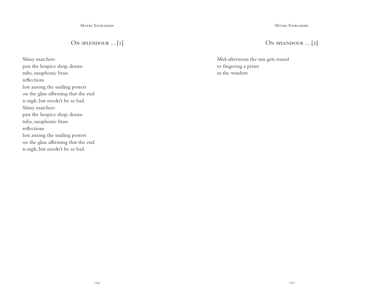Moyra Tourlamain

## On splendour ... [1]

Shiny marchers past the hospice shop, drums tuba, susaphonic brass reflections lost among the smiling posters on the glass affirming that the end is nigh, but needn't be so bad. Shiny marchers past the hospice shop, drums tuba, susaphonic brass reflections lost among the smiling posters on the glass affirming that the end is nigh, but needn't be so bad.

Moyra Tourlamain

## ON SPLENDOUR ... [2]

Mid-afternoon the sun gets round to fingering a prism in the window